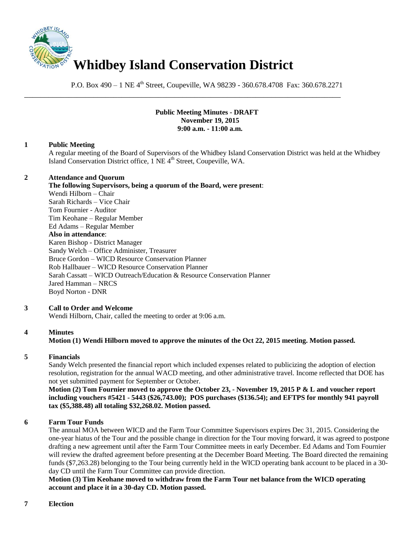

P.O. Box 490 – 1 NE 4<sup>th</sup> Street, Coupeville, WA 98239 - 360.678.4708 Fax: 360.678.2271

\_\_\_\_\_\_\_\_\_\_\_\_\_\_\_\_\_\_\_\_\_\_\_\_\_\_\_\_\_\_\_\_\_\_\_\_\_\_\_\_\_\_\_\_\_\_\_\_\_\_\_\_\_\_\_\_\_\_\_\_\_\_\_\_\_\_\_\_\_\_\_\_\_\_\_\_\_\_

# **Public Meeting Minutes - DRAFT November 19, 2015 9:00 a.m. - 11:00 a.m.**

# **1 Public Meeting**

A regular meeting of the Board of Supervisors of the Whidbey Island Conservation District was held at the Whidbey Island Conservation District office, 1 NE 4<sup>th</sup> Street, Coupeville, WA.

## **2 Attendance and Quorum**

**The following Supervisors, being a quorum of the Board, were present**: Wendi Hilborn – Chair Sarah Richards – Vice Chair Tom Fournier - Auditor Tim Keohane – Regular Member Ed Adams – Regular Member **Also in attendance**: Karen Bishop - District Manager Sandy Welch – Office Administer, Treasurer Bruce Gordon – WICD Resource Conservation Planner Rob Hallbauer – WICD Resource Conservation Planner Sarah Cassatt – WICD Outreach/Education & Resource Conservation Planner Jared Hamman – NRCS Boyd Norton - DNR

# **3 Call to Order and Welcome**

Wendi Hilborn, Chair, called the meeting to order at 9:06 a.m.

# **4 Minutes**

# **Motion (1) Wendi Hilborn moved to approve the minutes of the Oct 22, 2015 meeting. Motion passed.**

# **5 Financials**

Sandy Welch presented the financial report which included expenses related to publicizing the adoption of election resolution, registration for the annual WACD meeting, and other administrative travel. Income reflected that DOE has not yet submitted payment for September or October.

**Motion (2) Tom Fournier moved to approve the October 23, - November 19, 2015 P & L and voucher report including vouchers #5421 - 5443 (\$26,743.00); POS purchases (\$136.54); and EFTPS for monthly 941 payroll tax (\$5,388.48) all totaling \$32,268.02. Motion passed.** 

# **6 Farm Tour Funds**

The annual MOA between WICD and the Farm Tour Committee Supervisors expires Dec 31, 2015. Considering the one-year hiatus of the Tour and the possible change in direction for the Tour moving forward, it was agreed to postpone drafting a new agreement until after the Farm Tour Committee meets in early December. Ed Adams and Tom Fournier will review the drafted agreement before presenting at the December Board Meeting. The Board directed the remaining funds (\$7,263.28) belonging to the Tour being currently held in the WICD operating bank account to be placed in a 30 day CD until the Farm Tour Committee can provide direction.

**Motion (3) Tim Keohane moved to withdraw from the Farm Tour net balance from the WICD operating account and place it in a 30-day CD. Motion passed.**

#### **7 Election**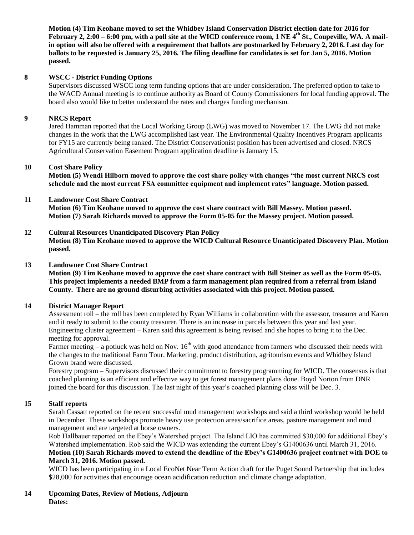**Motion (4) Tim Keohane moved to set the Whidbey Island Conservation District election date for 2016 for February 2, 2:00 – 6:00 pm, with a poll site at the WICD conference room, 1 NE 4th St., Coupeville, WA. A mailin option will also be offered with a requirement that ballots are postmarked by February 2, 2016. Last day for ballots to be requested is January 25, 2016. The filing deadline for candidates is set for Jan 5, 2016. Motion passed.**

# **8 WSCC - District Funding Options**

Supervisors discussed WSCC long term funding options that are under consideration. The preferred option to take to the WACD Annual meeting is to continue authority as Board of County Commissioners for local funding approval. The board also would like to better understand the rates and charges funding mechanism.

### **9 NRCS Report**

Jared Hamman reported that the Local Working Group (LWG) was moved to November 17. The LWG did not make changes in the work that the LWG accomplished last year. The Environmental Quality Incentives Program applicants for FY15 are currently being ranked. The District Conservationist position has been advertised and closed. NRCS Agricultural Conservation Easement Program application deadline is January 15.

### **10 Cost Share Policy**

**Motion (5) Wendi Hilborn moved to approve the cost share policy with changes "the most current NRCS cost schedule and the most current FSA committee equipment and implement rates" language. Motion passed.** 

### **11 Landowner Cost Share Contract**

**Motion (6) Tim Keohane moved to approve the cost share contract with Bill Massey. Motion passed. Motion (7) Sarah Richards moved to approve the Form 05-05 for the Massey project. Motion passed.**

## **12 Cultural Resources Unanticipated Discovery Plan Policy**

**Motion (8) Tim Keohane moved to approve the WICD Cultural Resource Unanticipated Discovery Plan. Motion passed.** 

#### **13 Landowner Cost Share Contract**

**Motion (9) Tim Keohane moved to approve the cost share contract with Bill Steiner as well as the Form 05-05. This project implements a needed BMP from a farm management plan required from a referral from Island County. There are no ground disturbing activities associated with this project. Motion passed.** 

## **14 District Manager Report**

Assessment roll – the roll has been completed by Ryan Williams in collaboration with the assessor, treasurer and Karen and it ready to submit to the county treasurer. There is an increase in parcels between this year and last year. Engineering cluster agreement – Karen said this agreement is being revised and she hopes to bring it to the Dec. meeting for approval.

Farmer meeting – a potluck was held on Nov.  $16<sup>th</sup>$  with good attendance from farmers who discussed their needs with the changes to the traditional Farm Tour. Marketing, product distribution, agritourism events and Whidbey Island Grown brand were discussed.

Forestry program – Supervisors discussed their commitment to forestry programming for WICD. The consensus is that coached planning is an efficient and effective way to get forest management plans done. Boyd Norton from DNR joined the board for this discussion. The last night of this year's coached planning class will be Dec. 3.

# **15 Staff reports**

Sarah Cassatt reported on the recent successful mud management workshops and said a third workshop would be held in December. These workshops promote heavy use protection areas/sacrifice areas, pasture management and mud management and are targeted at horse owners.

Rob Hallbauer reported on the Ebey's Watershed project. The Island LIO has committed \$30,000 for additional Ebey's Watershed implementation. Rob said the WICD was extending the current Ebey's G1400636 until March 31, 2016. **Motion (10) Sarah Richards moved to extend the deadline of the Ebey's G1400636 project contract with DOE to March 31, 2016. Motion passed.** 

WICD has been participating in a Local EcoNet Near Term Action draft for the Puget Sound Partnership that includes \$28,000 for activities that encourage ocean acidification reduction and climate change adaptation.

### **14 Upcoming Dates, Review of Motions, Adjourn Dates:**